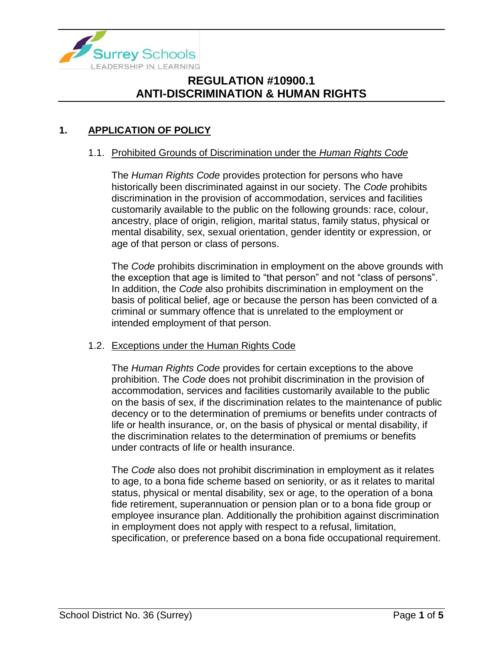

### **1. APPLICATION OF POLICY**

#### 1.1. Prohibited Grounds of Discrimination under the *Human Rights Code*

The *Human Rights Code* provides protection for persons who have historically been discriminated against in our society. The *Code* prohibits discrimination in the provision of accommodation, services and facilities customarily available to the public on the following grounds: race, colour, ancestry, place of origin, religion, marital status, family status, physical or mental disability, sex, sexual orientation, gender identity or expression, or age of that person or class of persons.

The *Code* prohibits discrimination in employment on the above grounds with the exception that age is limited to "that person" and not "class of persons". In addition, the *Code* also prohibits discrimination in employment on the basis of political belief, age or because the person has been convicted of a criminal or summary offence that is unrelated to the employment or intended employment of that person.

#### 1.2. Exceptions under the Human Rights Code

The *Human Rights Code* provides for certain exceptions to the above prohibition. The *Code* does not prohibit discrimination in the provision of accommodation, services and facilities customarily available to the public on the basis of sex, if the discrimination relates to the maintenance of public decency or to the determination of premiums or benefits under contracts of life or health insurance, or, on the basis of physical or mental disability, if the discrimination relates to the determination of premiums or benefits under contracts of life or health insurance.

The *Code* also does not prohibit discrimination in employment as it relates to age, to a bona fide scheme based on seniority, or as it relates to marital status, physical or mental disability, sex or age, to the operation of a bona fide retirement, superannuation or pension plan or to a bona fide group or employee insurance plan. Additionally the prohibition against discrimination in employment does not apply with respect to a refusal, limitation, specification, or preference based on a bona fide occupational requirement.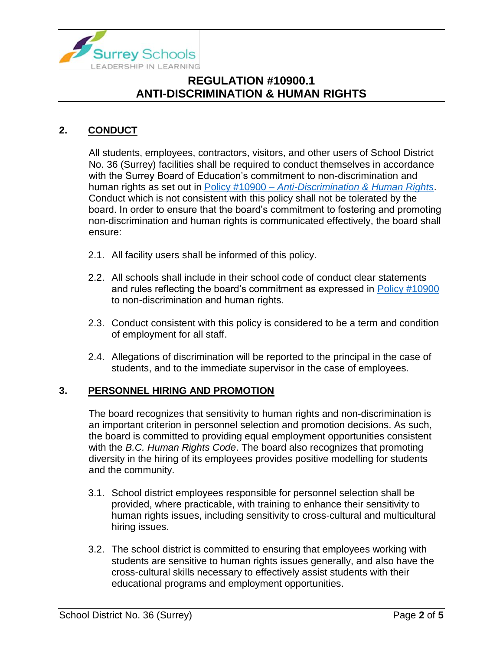

## **2. CONDUCT**

All students, employees, contractors, visitors, and other users of School District No. 36 (Surrey) facilities shall be required to conduct themselves in accordance with the Surrey Board of Education's commitment to non-discrimination and human rights as set out in Policy #10900 – *[Anti-Discrimination & Human Rights](https://www.surreyschools.ca/departments/SECT/PoliciesRegulations/section_10000/Documents/10900%20Policy.pdf)*. Conduct which is not consistent with this policy shall not be tolerated by the board. In order to ensure that the board's commitment to fostering and promoting non-discrimination and human rights is communicated effectively, the board shall ensure:

- 2.1. All facility users shall be informed of this policy.
- 2.2. All schools shall include in their school code of conduct clear statements and rules reflecting the board's commitment as expressed in [Policy #10900](https://www.surreyschools.ca/departments/SECT/PoliciesRegulations/section_10000/Documents/10900%20Policy.pdf) to non-discrimination and human rights.
- 2.3. Conduct consistent with this policy is considered to be a term and condition of employment for all staff.
- 2.4. Allegations of discrimination will be reported to the principal in the case of students, and to the immediate supervisor in the case of employees.

#### **3. PERSONNEL HIRING AND PROMOTION**

The board recognizes that sensitivity to human rights and non-discrimination is an important criterion in personnel selection and promotion decisions. As such, the board is committed to providing equal employment opportunities consistent with the *B.C. Human Rights Code*. The board also recognizes that promoting diversity in the hiring of its employees provides positive modelling for students and the community.

- 3.1. School district employees responsible for personnel selection shall be provided, where practicable, with training to enhance their sensitivity to human rights issues, including sensitivity to cross-cultural and multicultural hiring issues.
- 3.2. The school district is committed to ensuring that employees working with students are sensitive to human rights issues generally, and also have the cross-cultural skills necessary to effectively assist students with their educational programs and employment opportunities.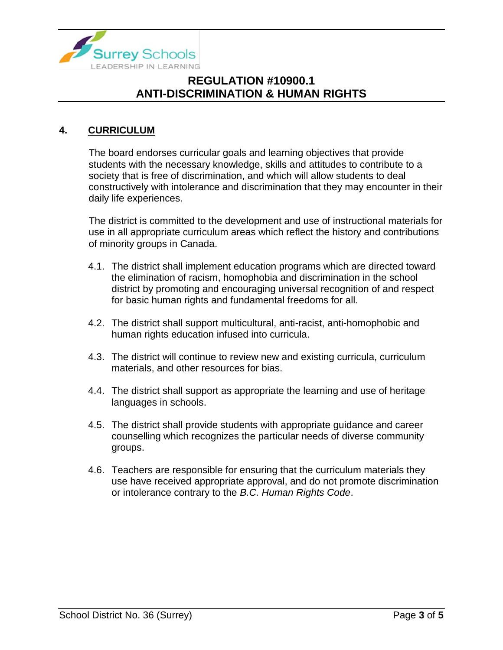

#### **4. CURRICULUM**

The board endorses curricular goals and learning objectives that provide students with the necessary knowledge, skills and attitudes to contribute to a society that is free of discrimination, and which will allow students to deal constructively with intolerance and discrimination that they may encounter in their daily life experiences.

The district is committed to the development and use of instructional materials for use in all appropriate curriculum areas which reflect the history and contributions of minority groups in Canada.

- 4.1. The district shall implement education programs which are directed toward the elimination of racism, homophobia and discrimination in the school district by promoting and encouraging universal recognition of and respect for basic human rights and fundamental freedoms for all.
- 4.2. The district shall support multicultural, anti-racist, anti-homophobic and human rights education infused into curricula.
- 4.3. The district will continue to review new and existing curricula, curriculum materials, and other resources for bias.
- 4.4. The district shall support as appropriate the learning and use of heritage languages in schools.
- 4.5. The district shall provide students with appropriate guidance and career counselling which recognizes the particular needs of diverse community groups.
- 4.6. Teachers are responsible for ensuring that the curriculum materials they use have received appropriate approval, and do not promote discrimination or intolerance contrary to the *B.C. Human Rights Code*.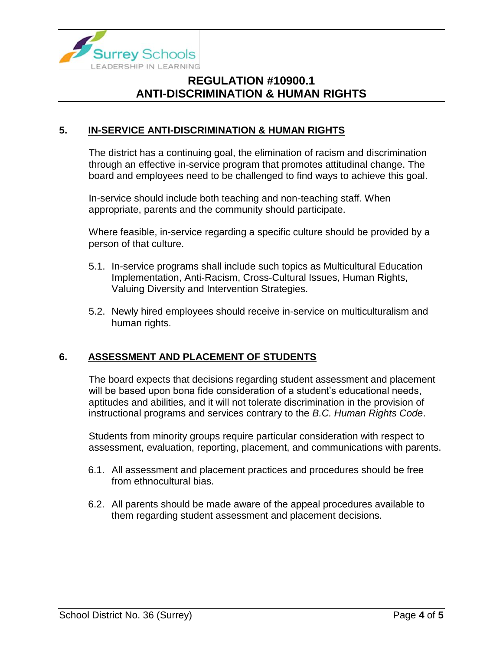

### **5. IN-SERVICE ANTI-DISCRIMINATION & HUMAN RIGHTS**

The district has a continuing goal, the elimination of racism and discrimination through an effective in-service program that promotes attitudinal change. The board and employees need to be challenged to find ways to achieve this goal.

In-service should include both teaching and non-teaching staff. When appropriate, parents and the community should participate.

Where feasible, in-service regarding a specific culture should be provided by a person of that culture.

- 5.1. In-service programs shall include such topics as Multicultural Education Implementation, Anti-Racism, Cross-Cultural Issues, Human Rights, Valuing Diversity and Intervention Strategies.
- 5.2. Newly hired employees should receive in-service on multiculturalism and human rights.

### **6. ASSESSMENT AND PLACEMENT OF STUDENTS**

The board expects that decisions regarding student assessment and placement will be based upon bona fide consideration of a student's educational needs, aptitudes and abilities, and it will not tolerate discrimination in the provision of instructional programs and services contrary to the *B.C. Human Rights Code*.

Students from minority groups require particular consideration with respect to assessment, evaluation, reporting, placement, and communications with parents.

- 6.1. All assessment and placement practices and procedures should be free from ethnocultural bias.
- 6.2. All parents should be made aware of the appeal procedures available to them regarding student assessment and placement decisions.